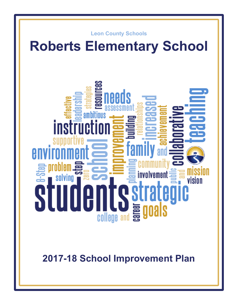

# **Roberts Elementary School**



**2017-18 School Improvement Plan**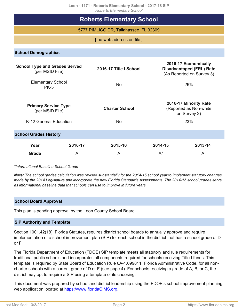**Leon - 1171 - Roberts Elementary School - 2017-18 SIP** *Roberts Elementary School*

| RODERS EIGHTEITIGHY SCHOOL                              |                              |                        |                  |                                                                                      |  |  |  |  |  |
|---------------------------------------------------------|------------------------------|------------------------|------------------|--------------------------------------------------------------------------------------|--|--|--|--|--|
| <b>Roberts Elementary School</b>                        |                              |                        |                  |                                                                                      |  |  |  |  |  |
| 5777 PIMLICO DR, Tallahassee, FL 32309                  |                              |                        |                  |                                                                                      |  |  |  |  |  |
| [ no web address on file ]                              |                              |                        |                  |                                                                                      |  |  |  |  |  |
| <b>School Demographics</b>                              |                              |                        |                  |                                                                                      |  |  |  |  |  |
| <b>School Type and Grades Served</b><br>(per MSID File) |                              | 2016-17 Title I School |                  | 2016-17 Economically<br><b>Disadvantaged (FRL) Rate</b><br>(As Reported on Survey 3) |  |  |  |  |  |
| <b>Elementary School</b><br><b>PK-5</b>                 |                              | <b>No</b>              |                  | 26%                                                                                  |  |  |  |  |  |
| <b>Primary Service Type</b><br>(per MSID File)          |                              | <b>Charter School</b>  |                  | 2016-17 Minority Rate<br>(Reported as Non-white<br>on Survey 2)                      |  |  |  |  |  |
| K-12 General Education                                  |                              | <b>No</b>              |                  | 23%                                                                                  |  |  |  |  |  |
|                                                         | <b>School Grades History</b> |                        |                  |                                                                                      |  |  |  |  |  |
| Year<br><b>Grade</b>                                    | 2016-17<br>A                 | 2015-16<br>A           | 2014-15<br>$A^*$ | 2013-14<br>A                                                                         |  |  |  |  |  |

*\*Informational Baseline School Grade*

*Note: The school grades calculation was revised substantially for the 2014-15 school year to implement statutory changes made by the 2014 Legislature and incorporate the new Florida Standards Assessments. The 2014-15 school grades serve as informational baseline data that schools can use to improve in future years.*

### **School Board Approval**

This plan is pending approval by the Leon County School Board.

### **SIP Authority and Template**

Section 1001.42(18), Florida Statutes, requires district school boards to annually approve and require implementation of a school improvement plan (SIP) for each school in the district that has a school grade of D or F.

The Florida Department of Education (FDOE) SIP template meets all statutory and rule requirements for traditional public schools and incorporates all components required for schools receiving Title I funds. This template is required by State Board of Education Rule 6A-1.099811, Florida Administrative Code, for all noncharter schools with a current grade of D or F (see page 4). For schools receiving a grade of A, B, or C, the district may opt to require a SIP using a template of its choosing.

This document was prepared by school and district leadership using the FDOE's school improvement planning web application located at [https://www.floridaCIMS.org.](https://www.floridacims.org)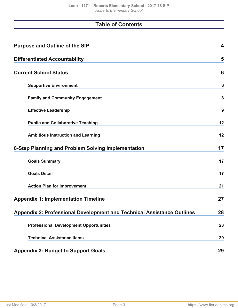# **Table of Contents**

| <b>Purpose and Outline of the SIP</b>                                         | 4  |
|-------------------------------------------------------------------------------|----|
| <b>Differentiated Accountability</b>                                          | 5  |
| <b>Current School Status</b>                                                  | 6  |
| <b>Supportive Environment</b>                                                 | 6  |
| <b>Family and Community Engagement</b>                                        | 8  |
| <b>Effective Leadership</b>                                                   | 9  |
| <b>Public and Collaborative Teaching</b>                                      | 12 |
| <b>Ambitious Instruction and Learning</b>                                     | 12 |
| 8-Step Planning and Problem Solving Implementation                            | 17 |
| <b>Goals Summary</b>                                                          | 17 |
| <b>Goals Detail</b>                                                           | 17 |
| <b>Action Plan for Improvement</b>                                            | 21 |
| <b>Appendix 1: Implementation Timeline</b>                                    | 27 |
| <b>Appendix 2: Professional Development and Technical Assistance Outlines</b> | 28 |
| <b>Professional Development Opportunities</b>                                 | 28 |
| <b>Technical Assistance Items</b>                                             | 29 |
| <b>Appendix 3: Budget to Support Goals</b>                                    | 29 |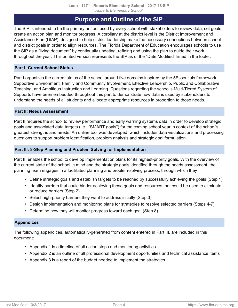# **Purpose and Outline of the SIP**

<span id="page-3-0"></span>The SIP is intended to be the primary artifact used by every school with stakeholders to review data, set goals, create an action plan and monitor progress. A corollary at the district level is the District Improvement and Assistance Plan (DIAP), designed to help district leadership make the necessary connections between school and district goals in order to align resources. The Florida Department of Education encourages schools to use the SIP as a "living document" by continually updating, refining and using the plan to guide their work throughout the year. This printed version represents the SIP as of the "Date Modified" listed in the footer.

### **Part I: Current School Status**

Part I organizes the current status of the school around five domains inspired by the 5Essentials framework: Supportive Environment, Family and Community Involvement, Effective Leadership, Public and Collaborative Teaching, and Ambitious Instruction and Learning. Questions regarding the school's Multi-Tiered System of Supports have been embedded throughout this part to demonstrate how data is used by stakeholders to understand the needs of all students and allocate appropriate resources in proportion to those needs.

### **Part II: Needs Assessment**

Part II requires the school to review performance and early warning systems data in order to develop strategic goals and associated data targets (i.e., "SMART goals") for the coming school year in context of the school's greatest strengths and needs. An online tool was developed, which includes data visualizations and processing questions to support problem identification, problem analysis and strategic goal formulation.

### **Part III: 8-Step Planning and Problem Solving for Implementation**

Part III enables the school to develop implementation plans for its highest-priority goals. With the overview of the current state of the school in mind and the strategic goals identified through the needs assessment, the planning team engages in a facilitated planning and problem-solving process, through which they

- Define strategic goals and establish targets to be reached by successfully achieving the goals (Step 1)
- Identify barriers that could hinder achieving those goals and resources that could be used to eliminate or reduce barriers (Step 2)
- Select high-priority barriers they want to address initially (Step 3)
- Design implementation and monitoring plans for strategies to resolve selected barriers (Steps 4-7)
- Determine how they will monitor progress toward each goal (Step 8)

### **Appendices**

The following appendices, automatically-generated from content entered in Part III, are included in this document:

- Appendix 1 is a timeline of all action steps and monitoring activities
- Appendix 2 is an outline of all professional development opportunities and technical assistance items
- Appendix 3 is a report of the budget needed to implement the strategies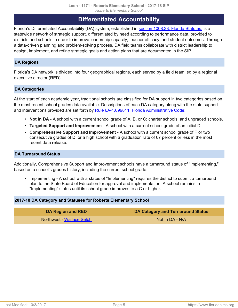# **Differentiated Accountability**

<span id="page-4-0"></span>Florida's Differentiated Accountability (DA) system, established in [section 1008.33, Florida Statutes,](http://www.leg.state.fl.us/Statutes/index.cfm?App_mode=Display_Statute&Search_String=&URL=1000-1099/1008/Sections/1008.33.html) is a statewide network of strategic support, differentiated by need according to performance data, provided to districts and schools in order to improve leadership capacity, teacher efficacy, and student outcomes. Through a data-driven planning and problem-solving process, DA field teams collaborate with district leadership to design, implement, and refine strategic goals and action plans that are documented in the SIP.

### **DA Regions**

Florida's DA network is divided into four geographical regions, each served by a field team led by a regional executive director (RED).

### **DA Categories**

At the start of each academic year, traditional schools are classified for DA support in two categories based on the most recent school grades data available. Descriptions of each DA category along with the state support and interventions provided are set forth by [Rule 6A-1.099811, Florida Administrative Code:](https://www.flrules.org/gateway/ruleNo.asp?id=6A-1.099811)

- **Not in DA** A school with a current school grade of A, B, or C; charter schools; and ungraded schools.
- **Targeted Support and Improvement** A school with a current school grade of an initial D.
- **Comprehensive Support and Improvement** A school with a current school grade of F or two consecutive grades of D, or a high school with a graduation rate of 67 percent or less in the most recent data release.

### **DA Turnaround Status**

Additionally, Comprehensive Support and Improvement schools have a turnaround status of "Implementing," based on a school's grades history, including the current school grade:

• Implementing - A school with a status of "Implementing" requires the district to submit a turnaround plan to the State Board of Education for approval and implementation. A school remains in "Implementing" status until its school grade improves to a C or higher.

### **2017-18 DA Category and Statuses for Roberts Elementary School**

**DA Region and RED DA Category and Turnaround Status** Northwest - [Wallace Selph](mailto:wallace.selph@fldoe.org) Not In DA - N/A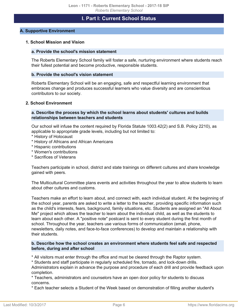### **I. Part I: Current School Status**

### <span id="page-5-1"></span><span id="page-5-0"></span>**A. Supportive Environment**

### **1. School Mission and Vision**

### **a. Provide the school's mission statement**

The Roberts Elementary School family will foster a safe, nurturing environment where students reach their fullest potential and become productive, responsible students.

#### **b. Provide the school's vision statement**

Roberts Elementary School will be an engaging, safe and respectful learning environment that embraces change and produces successful learners who value diversity and are conscientious contributors to our society.

#### **2. School Environment**

### **a. Describe the process by which the school learns about students' cultures and builds relationships between teachers and students**

Our school will infuse the content required by Florida Statute 1003.42(2) and S.B. Policy 2210), as applicable to appropriate grade levels, including but not limited to:

- \* History of Holocaust
- \* History of Africans and African Americans
- \* Hispanic contributions
- \* Women's contributions
- \* Sacrifices of Veterans

Teachers participate in school, district and state trainings on different cultures and share knowledge gained with peers.

The Multicultural Committee plans events and activities throughout the year to allow students to learn about other cultures and customs.

Teachers make an effort to learn about, and connect with, each individual student. At the beginning of the school year, parents are asked to write a letter to the teacher, providing specific information such as the child's interests, fears, background, family situations, etc. Students are assigned an "All About Me" project which allows the teacher to learn about the individual child, as well as the students to learn about each other. A "positive note" postcard is sent to every student during the first month of school. Throughout the year, teachers use various forms of communication (email, phone, newsletters, daily notes, and face-to-face conferences) to develop and maintain a relationship with their students.

### **b. Describe how the school creates an environment where students feel safe and respected before, during and after school**

\* All visitors must enter through the office and must be cleared through the Raptor system.

\* Students and staff participate in regularly scheduled fire, tornado, and lock-down drills.

Administrators explain in advance the purpose and procedure of each drill and provide feedback upon completion.

\* Teachers, administrators and counselors have an open door policy for students to discuss concerns.

\* Each teacher selects a Student of the Week based on demonstration of filling another student's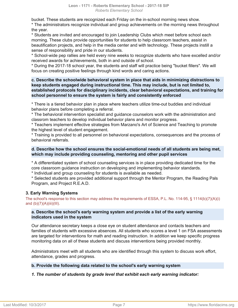bucket. These students are recognized each Friday on the in-school morning news show. \* The administrators recognize individual and group achievements on the morning news throughout the year.

\* Students are invited and encouraged to join Leadership Clubs which meet before school each morning. These clubs provide opportunities for students to help classroom teachers, assist in beautification projects, and help in the media center and with technology. These projects instill a sense of responsibility and pride in our students.

\* School-wide pep rallies are held every nine weeks to recognize students who have excelled and/or received awards for achievements, both in and outside of school.

\* During the 2017-18 school year, the students and staff will practice being "bucket fillers". We will focus on creating positive feelings through kind words and caring actions.

### **c. Describe the schoolwide behavioral system in place that aids in minimizing distractions to keep students engaged during instructional time. This may include, but is not limited to, established protocols for disciplinary incidents, clear behavioral expectations, and training for school personnel to ensure the system is fairly and consistently enforced**

\* There is a tiered behavior plan in place where teachers utilize time-out buddies and individual behavior plans before completing a referral.

\* The behavioral intervention specialist and guidance counselors work with the administration and classrom teachers to develop individual behavior plans and monitor progress.

\* Teachers implement effective strategies from Marzano's Art of Science and Teaching to promote the highest level of student engagement.

\* Training is provided to all personnel on behavioral expectations, consequences and the process of behavioral referrals.

### **d. Describe how the school ensures the social-emotional needs of all students are being met, which may include providing counseling, mentoring and other pupil services**

\* A differentiated system of school counseling services is in place providing dedicated time for the core classroom guidance instruction on developing and implementing behavior standards.

\* Individual and group counseling for students is available as needed.

\* Selected students are provided additional support through the Mentor Program, the Reading Pals Program, and Project R.E.A.D.

### **3. Early Warning Systems**

The school's response to this section may address the requirements of ESSA, P.L. No. 114-95, § 1114(b)(7)(A)(i) and  $(b)(7)(A)(iii)(III)$ .

### **a. Describe the school's early warning system and provide a list of the early warning indicators used in the system**

Our attendance secretary keeps a close eye on student attendance and contacts teachers and families of students with excessive absences. All students who scores a level 1 on FSA assessments are targeted for interventions for math and reading instruction. In addition we keep specific progress monitoring data on all of these students and discuss interventions being provided monthly.

Administrators meet with all students who are identified through this system to discuss work effort, attendance, grades and progress.

### **b. Provide the following data related to the school's early warning system**

### *1. The number of students by grade level that exhibit each early warning indicator:*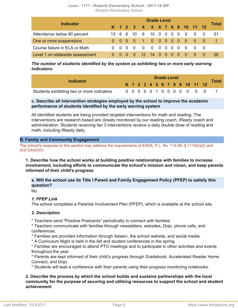| Leon - 1171 - Roberts Elementary School - 2017-18 SIP |                                  |  |  |
|-------------------------------------------------------|----------------------------------|--|--|
|                                                       | <b>Roberts Elementary School</b> |  |  |

| <b>Indicator</b>                |  | <b>Grade Level</b> |     |                   |             |              |  |  |    |  |                              |                                        |          | Total |
|---------------------------------|--|--------------------|-----|-------------------|-------------|--------------|--|--|----|--|------------------------------|----------------------------------------|----------|-------|
|                                 |  |                    |     |                   |             |              |  |  |    |  | K 1 2 3 4 5 6 7 8 9 10 11 12 |                                        |          |       |
| Attendance below 90 percent     |  | $\cdot$ 6 $\cdot$  | 6   | 10                |             | 6 10 0 0 0 0 |  |  |    |  | - 0                          | $\overline{0}$                         | $\Omega$ | 51    |
| One or more suspensions         |  |                    |     | $0\quad 0\quad 0$ | 1 0 0 0 0 0 |              |  |  |    |  | $\overline{0}$               | $\begin{array}{ccc} 0 & 0 \end{array}$ |          |       |
| Course failure in ELA or Math   |  |                    | - റ | - റ               | - 0         |              |  |  |    |  | $\Omega$                     | $\bigcirc$                             |          |       |
| Level 1 on statewide assessment |  | $\Omega$ $\Omega$  |     | - 0               | 12 14 0 0   |              |  |  | 00 |  | - 0                          | - റ                                    |          | 26    |

*The number of students identified by the system as exhibiting two or more early warning indicators:*

| Indicator                                  |  | <b>Grade Level</b> |  |  |  |  |  |  |  |  |                           |                              |              |
|--------------------------------------------|--|--------------------|--|--|--|--|--|--|--|--|---------------------------|------------------------------|--------------|
|                                            |  |                    |  |  |  |  |  |  |  |  |                           | K 1 2 3 4 5 6 7 8 9 10 11 12 | <b>Total</b> |
| Students exhibiting two or more indicators |  |                    |  |  |  |  |  |  |  |  | 0 0 0 0 0 1 0 0 0 0 0 0 0 |                              |              |

### **c. Describe all intervention strategies employed by the school to improve the academic performance of students identified by the early warning system**

All identified students are being provided targeted interventions for math and reading. The interventions are research based are closely monitored by our reading coach, iReady coach and administration. Students receiving tier 3 interventions receive a daily double dose of reading and math, including iReady daily.

### <span id="page-7-0"></span>**B. Family and Community Engagement**

The school's response to this section may address the requirements of ESSA, P.L. No. 114-95, § 1114(b)(2) and  $(b)(7)(A)(iii)(I).$ 

**1. Describe how the school works at building positive relationships with families to increase involvement, including efforts to communicate the school's mission and vision, and keep parents informed of their child's progress**

**a. Will the school use its Title I Parent and Family Engagement Policy (PFEP) to satisfy this question?**

No

### *1. PFEP Link*

The school completes a Parental Involvement Plan (PFEP), which is available at the school site.

### *2. Description*

\* Teachers send "Positive Postcards" periodically to connect with families.

\* Teachers communicate with families through newsletters, websites, Dojo, phone calls, and conferences.

\* Families are provided information through listserv, the school website, and social media.

\* A Curriculum Night is held in the fall and student conferences in the spring.

\* Families are encouraged to attend PTO meetings and to participate in other activities and events throughout the year.

\* Parents are kept informed of their child's progress through Gradebook, Accelerated Reader Home Connect, and Dojo.

\* Students will lead a conference with their parents using their progress monitoring notebooks.

### **2. Describe the process by which the school builds and sustains partnerships with the local community for the purpose of securing and utilizing resources to support the school and student achievement**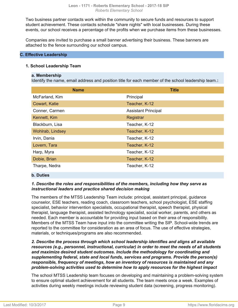Two business partner contacts work within the community to secure funds and resources to support student achievement. These contacts schedule "share nights" with local businesses. During these events, our school receives a percentage of the profits when we purchase items from these businesses.

Companies are invited to purchase a small banner advertising their business. These banners are attached to the fence surrounding our school campus.

### <span id="page-8-0"></span>**C. Effective Leadership**

### **1. School Leadership Team**

### **a. Membership**

Identify the name, email address and position title for each member of the school leadership team.**:**

| <b>Name</b>      | <b>Title</b>               |
|------------------|----------------------------|
| McFarland, Kim   | Principal                  |
| Cowart, Katie    | Teacher, K-12              |
| Conner, Carmen   | <b>Assistant Principal</b> |
| Kennett, Kim     | Registrar                  |
| Blackburn, Lisa  | Teacher, K-12              |
| Wohlrab, Lindsey | Teacher, K-12              |
| Irvin, Dania     | Teacher, K-12              |
| Lovern, Tara     | Teacher, K-12              |
| Harp, Myra       | Teacher, K-12              |
| Dobie, Brian     | Teacher, K-12              |
| Tharpe, Nedra    | Teacher, K-12              |

### **b. Duties**

### *1. Describe the roles and responsibilities of the members, including how they serve as instructional leaders and practice shared decision making*

The members of the MTSS Leadership Team include: principal, assistant principal, guidance counselor, ESE teachers, reading coach, classroom teachers, school psychologist, ESE staffing specialist, behavior intervention specialists, occupational therapist, speech therapist, physical therapist, language therapist, assisted technology specialist, social worker, parents, and others as needed. Each member is accountable for providing input based on their area of responsibility. Members of the MTSS Team have input into the committee writing the SIP. School-wide trends are reported to the committee for consideration as an area of focus. The use of effective strategies, materials, or techniques/programs are also recommended.

*2. Describe the process through which school leadership identifies and aligns all available resources (e.g., personnel, instructional, curricular) in order to meet the needs of all students and maximize desired student outcomes. Include the methodology for coordinating and supplementing federal, state and local funds, services and programs. Provide the person(s) responsible, frequency of meetings, how an inventory of resources is maintained and any problem-solving activities used to determine how to apply resources for the highest impact*

The school MTSS Leadership team focuses on developing and maintaining a problem-solving system to ensure optimal student achievement for all students. The team meets once a week. Examples of activities during weekly meetings include reviewing student data (screening, progress monitoring).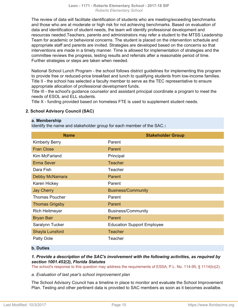The review of data will facilitate identification of students who are meeting/exceeding benchmarks and those who are at moderate or high risk for not achieving benchmarks. Based on evaluation of data and identification of student needs, the team will identify professional development and resources needed.Teachers, parents and administrators may refer a student to the MTSS Leadership Team for academic or behavioral concerns. The student is placed on the intervention schedule and appropriate staff and parents are invited. Strategies are developed based on the concerns so that interventions are made in a timely manner. Time is allowed for implementation of strategies and the committee reviews the progress, testing results and referrals after a reasonable period of time. Further strategies or steps are taken when needed.

National School Lunch Program - the school follows district guidelines for implementing this program to provide free or reduced-price breakfast and lunch to qualifying students from low-income families. Title II - the school has selected a faculty member to serve as the TEC representative to ensure appropriate allocation of professional development funds.

Title III - the school's guidance counselor and assistant principal coordinate a program to meet the needs of ESOL and ELL students.

Title X - funding provided based on homeless FTE is used to supplement student needs.

### **2. School Advisory Council (SAC)**

### **a. Membership**

Identify the name and stakeholder group for each member of the SAC.**:**

| <b>Name</b>           | <b>Stakeholder Group</b>          |
|-----------------------|-----------------------------------|
| <b>Kimberly Berry</b> | Parent                            |
| <b>Fran Close</b>     | Parent                            |
| Kim McFarland         | Principal                         |
| <b>Erma Sever</b>     | <b>Teacher</b>                    |
| Dara Fish             | Teacher                           |
| Debby McNamara        | Parent                            |
| Karen Hickey          | Parent                            |
| <b>Jay Cherry</b>     | <b>Business/Community</b>         |
| <b>Thomas Poucher</b> | Parent                            |
| <b>Thomas Grigsby</b> | Parent                            |
| <b>Rich Heitmeyer</b> | <b>Business/Community</b>         |
| <b>Bryan Bair</b>     | Parent                            |
| Saralynn Tucker       | <b>Education Support Employee</b> |
| Shayla Lunsford       | <b>Teacher</b>                    |
| Patty Oole            | Teacher                           |

### **b. Duties**

### *1. Provide a description of the SAC's involvement with the following activities, as required by section 1001.452(2), Florida Statutes*

The school's response to this question may address the requirements of ESSA, P.L. No. 114-95, § 1114(b)(2).

### *a. Evaluation of last year's school improvement plan*

The School Advisory Council has a timeline in place to monitor and evaluate the School Improvement Plan. Testing and other pertinent data is provided to SAC members as soon as it becomes availalbe.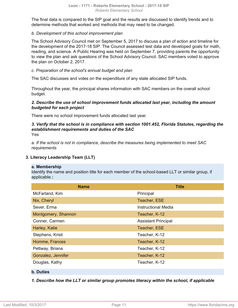The final data is compared to the SIP goal and the results are discussed to identify trends and to determine methods that worked and methods that may need to be changed.

### *b. Development of this school improvement plan*

The School Advisory Council met on September 5, 2017 to discuss a plan of action and timeline for the development of the 2017-18 SIP. The Council assessed test data and developed goals for math, reading, and science. A Public Hearing was held on September 7, providing parents the opportunity to view the plan and ask questions of the School Advisory Council. SAC members voted to approve the plan on October 2, 2017.

### *c. Preparation of the school's annual budget and plan*

The SAC discusses and votes on the expenditure of any state allocated SIP funds.

Throughout the year, the principal shares information with SAC members on the overall school budget.

### *2. Describe the use of school improvement funds allocated last year, including the amount budgeted for each project*

There were no school improvement funds allocated last year.

### *3. Verify that the school is in compliance with section 1001.452, Florida Statutes, regarding the establishment requirements and duties of the SAC* Yes

*a. If the school is not in compliance, describe the measures being implemented to meet SAC requirements*

### **3. Literacy Leadership Team (LLT)**

### **a. Membership**

Identify the name and position title for each member of the school-based LLT or similar group, if applicable.**:**

| <b>Name</b>         | <b>Title</b>               |
|---------------------|----------------------------|
| McFarland, Kim      | Principal                  |
| Nix, Cheryl         | Teacher, ESE               |
| Sever, Erma         | <b>Instructional Media</b> |
| Montgomery, Shannon | Teacher, K-12              |
| Conner, Carmen      | <b>Assistant Principal</b> |
| Harley, Katie       | Teacher, ESE               |
| Stephens, Kristi    | Teacher, K-12              |
| Homme, Frances      | Teacher, K-12              |
| Pettway, Briana     | Teacher, K-12              |
| Gonzalez, Jennifer  | Teacher, K-12              |
| Douglas, Kathy      | Teacher, K-12              |
| <b>b.</b> Duties    |                            |

*1. Describe how the LLT or similar group promotes literacy within the school, if applicable*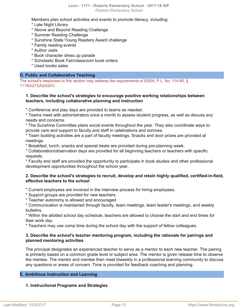Members plan school activities and events to promote literacy, including: \* Late Night Library

- \* Above and Beyond Reading Challenge
- \* Summer Reading Challenge
- \* Sunshine State Young Readers Award challenge
- \* Family reading events
- \* Author visits
- \* Book character dress up parade
- \* Scholastic Book Fair/classroom book orders
- \* Used books sales

### <span id="page-11-0"></span>**D. Public and Collaborative Teaching**

The school's responses to this section may address the requirements of ESSA, P.L. No. 114-95, § 1114(b)(7)(A)(iii)(IV).

### **1. Describe the school's strategies to encourage positive working relationships between teachers, including collaborative planning and instruction**

\* Conference and play days are provided to teams as needed.

\* Teams meet with administrators once a month to assess student progress, as well as discuss any needs and concerns.

\* The Sunshine Committee plans social events throughout the year. They also coordinate ways to provide care and support to faculty and staff in celebrations and sorrows.

\* Team building activities are a part of faculty meetings. Snacks and door prizes are provided at meetings.

\* Breakfast, lunch, snacks and special treats are provided during pre-planning week.

\* Collaboration/observation days are provided for all beginning teachers or teachers with specific requests.

\* Faculty and staff are provided the opportunity to participate in book studies and other professional development opportunities throughout the school year.

### **2. Describe the school's strategies to recruit, develop and retain highly qualified, certified-in-field, effective teachers to the school**

\* Current employees are involved in the interview process for hiring employees.

- \* Support groups are provided for new teachers.
- \* Teacher autonomy is allowed and encouraged.

\* Communication is maintained through faculty, team meetings, team leader's meetings, and weekly bulletins.

\* Within the allotted school day schedule, teachers are allowed to choose the start and end times for their work day.

\* Teachers may use comp time during the school day with the support of fellow colleagues.

### **3. Describe the school's teacher mentoring program, including the rationale for pairings and planned mentoring activities**

The principal designates an experienced teacher to serve as a mentor to each new teacher. The pairing is primarily based on a common grade level or subject area. The mentor is given release time to observe the mentee. The mentor and mentee then meet biweekly in a professional learning community to discuss any questions or areas of concern. Time is provided for feedback coaching and planning.

### <span id="page-11-1"></span>**E. Ambitious Instruction and Learning**

### **1. Instructional Programs and Strategies**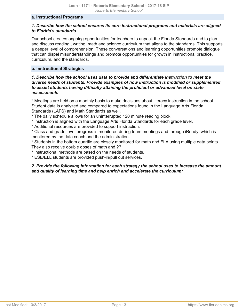### **a. Instructional Programs**

### *1. Describe how the school ensures its core instructional programs and materials are aligned to Florida's standards*

Our school creates ongoing opportunities for teachers to unpack the Florida Standards and to plan and discuss reading , writing, math and science curriculum that aligns to the standards. This supports a deeper level of comprehension. These conversations and learning opportunities promote dialogue that can dispel misunderstandings and promote opportunities for growth in instructional practice, curriculum, and the standards.

### **b. Instructional Strategies**

### *1. Describe how the school uses data to provide and differentiate instruction to meet the diverse needs of students. Provide examples of how instruction is modified or supplemented to assist students having difficulty attaining the proficient or advanced level on state assessments*

\* Meetings are held on a monthly basis to make decisions about literacy instruction in the school. Student data is analyzed and compared to expectations found in the Language Arts Florida Standards (LAFS) and Math Standards as well.

\* The daily schedule allows for an uninterrupted 120 minute reading block.

- \* Instruction is aligned with the Language Arts Florida Standards for each grade level.
- \* Additional resources are provided to support instruction.

\* Class and grade level progress is monitored during team meetings and through iReady, which is monitored by the data coach and the administration.

\* Students in the bottom quartile are closely monitored for math and ELA using multiple data points. They also receive double doses of math and ??

\* Instructional methods are based on the needs of students.

\* ESE/ELL students are provided push-in/pull out services.

### *2. Provide the following information for each strategy the school uses to increase the amount and quality of learning time and help enrich and accelerate the curriculum:*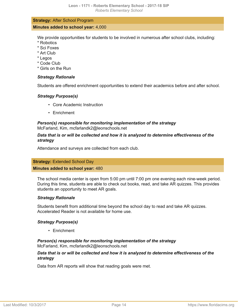### **Strategy:** After School Program **Minutes added to school year:** 4,000

We provide opportunities for students to be involved in numerous after school clubs, including:

- \* Robotics
- \* Sci Foxes
- \* Art Club
- \* Legos
- \* Code Club
- \* Girls on the Run

### *Strategy Rationale*

Students are offered enrichment opportunities to extend their academics before and after school.

### *Strategy Purpose(s)*

- Core Academic Instruction
- Enrichment

### *Person(s) responsible for monitoring implementation of the strategy* McFarland, Kim, mcfarlandk2@leonschools.net

### *Data that is or will be collected and how it is analyzed to determine effectiveness of the strategy*

Attendance and surveys are collected from each club.

### **Strategy:** Extended School Day

### **Minutes added to school year:** 480

The school media center is open from 5:00 pm until 7:00 pm one evening each nine-week period. During this time, students are able to check out books, read, and take AR quizzes. This provides students an opportunity to meet AR goals.

### *Strategy Rationale*

Students benefit from additional time beyond the school day to read and take AR quizzes. Accelerated Reader is not available for home use.

### *Strategy Purpose(s)*

• Enrichment

### *Person(s) responsible for monitoring implementation of the strategy* McFarland, Kim, mcfarlandk2@leonschools.net

### *Data that is or will be collected and how it is analyzed to determine effectiveness of the strategy*

Data from AR reports will show that reading goals were met.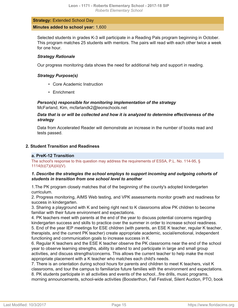### **Strategy:** Extended School Day **Minutes added to school year:** 1,600

Selected students in grades K-3 will participate in a Reading Pals program beginning in October. This program matches 25 students with mentors. The pairs will read with each other twice a week for one hour.

### *Strategy Rationale*

Our progress monitoring data shows the need for additional help and support in reading.

### *Strategy Purpose(s)*

- Core Academic Instruction
- Enrichment

*Person(s) responsible for monitoring implementation of the strategy* McFarland, Kim, mcfarlandk2@leonschools.net

*Data that is or will be collected and how it is analyzed to determine effectiveness of the strategy*

Data from Accelerated Reader will demonstrate an increase in the number of books read and tests passed.

### **2. Student Transition and Readiness**

### **a. PreK-12 Transition**

The school's response to this question may address the requirements of ESSA, P.L. No. 114-95, § 1114(b)(7)(A)(iii)(V).

### *1. Describe the strategies the school employs to support incoming and outgoing cohorts of students in transition from one school level to another*

1.The PK program closely matches that of the beginning of the county's adopted kindergarten curriculum.

2. Progress monitoring, AIMS Web testing, and VPK assessments monitor growth and readiness for success in kindergarten.

3. Sharing a playground with K and being right next to K classrooms allow PK children to become familiar with their future environment and expectations.

4. PK teachers meet with parents at the end of the year to discuss potential concerns regarding kindergarten success and skills to practice over the summer in order to increase school readiness. 5. End of the year IEP meetings for ESE children (with parents, an ESE K teacher, regular K teacher, therapists, and the current PK teacher) create appropriate academic, social/emotional, independent functioning and communication goals to increase success in K.

6. Regular K teachers and the ESE K teacher observe the PK classrooms near the end of the school year to observe learning strengths, ability to attend to and participate in large and small group activities, and discuss strengths/concerns. This allows the current teacher to help make the most appropriate placement with a K teacher who matches each child's needs.

7. There is an orientation during school hours for parents and children to meet K teachers, visit K classrooms, and tour the campus to familiarize future families with the environment and expectations. 8. PK students participate in all activities and events of the school...fire drills, music programs, morning announcements, school-wide activities (Boosterthon, Fall Festival, Silent Auction, PTO, book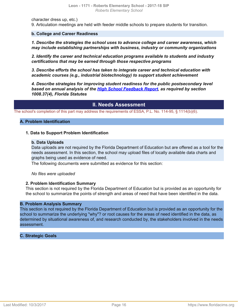character dress up, etc.)

9. Articulation meetings are held with feeder middle schools to prepare students for transition.

### **b. College and Career Readiness**

*1. Describe the strategies the school uses to advance college and career awareness, which may include establishing partnerships with business, industry or community organizations*

*2. Identify the career and technical education programs available to students and industry certifications that may be earned through those respective programs*

*3. Describe efforts the school has taken to integrate career and technical education with academic courses (e.g., industrial biotechnology) to support student achievement*

*4. Describe strategies for improving student readiness for the public postsecondary level based on annual analysis of the [High School Feedback Report,](http://data.fldoe.org/readiness/) as required by section 1008.37(4), Florida Statutes*

### **II. Needs Assessment**

The school's completion of this part may address the requirements of ESSA, P.L. No. 114-95, § 1114(b)(6).

### **A. Problem Identification**

### **1. Data to Support Problem Identification**

### **b. Data Uploads**

Data uploads are not required by the Florida Department of Education but are offered as a tool for the needs assessment. In this section, the school may upload files of locally available data charts and graphs being used as evidence of need.

The following documents were submitted as evidence for this section:

*No files were uploaded*

### **2. Problem Identification Summary**

This section is not required by the Florida Department of Education but is provided as an opportunity for the school to summarize the points of strength and areas of need that have been identified in the data.

### **B. Problem Analysis Summary**

This section is not required by the Florida Department of Education but is provided as an opportunity for the school to summarize the underlying "why"? or root causes for the areas of need identified in the data, as determined by situational awareness of, and research conducted by, the stakeholders involved in the needs assessment.

### **C. Strategic Goals**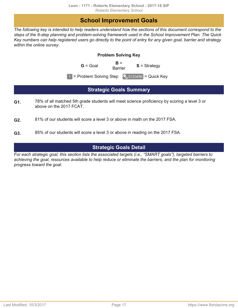# **School Improvement Goals**

<span id="page-16-0"></span>*The following key is intended to help readers understand how the sections of this document correspond to the steps of the 8-step planning and problem-solving framework used in the School Improvement Plan. The Quick Key numbers can help registered users go directly to the point of entry for any given goal, barrier and strategy within the online survey.*

### **Problem Solving Key**

 $G =$  Goal  $G =$  B =

**S** = Strategy

 $\boxed{1}$  = Problem Solving Step  $\boxed{\phantom{1}}$  S123456 = Quick Key

# **Strategic Goals Summary**

- <span id="page-16-1"></span>78% of all matched 5th grade students will meet science proficiency by scoring a level 3 or above on the 2017 FCAT. **G1.**
- 81% of our students will score a level 3 or above in math on the 2017 FSA. **G2.**
- 85% of our students will score a level 3 or above in reading on the 2017 FSA. **G3.**

# **Strategic Goals Detail**

<span id="page-16-2"></span>*For each strategic goal, this section lists the associated targets (i.e., "SMART goals"), targeted barriers to achieving the goal, resources available to help reduce or eliminate the barriers, and the plan for monitoring progress toward the goal.*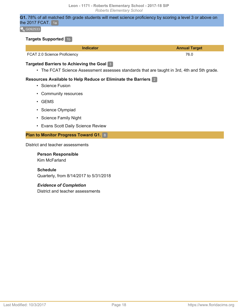**G1.** 78% of all matched 5th grade students will meet science proficiency by scoring a level 3 or above on the 2017 FCAT.  $1a$ 

 $\left[ \begin{array}{c} 0 \\ 0 \end{array} \right]$  G092533

### **Targets Supported** 1b

| <b>Indicator</b>             | <b>Annual Target</b> |
|------------------------------|----------------------|
| FCAT 2.0 Science Proficiency | 76.0                 |

### **Targeted Barriers to Achieving the Goal** 3

• The FCAT Science Assessment assesses standards that are taught in 3rd, 4th and 5th grade.

### **Resources Available to Help Reduce or Eliminate the Barriers** 2

- Science Fusion
- Community resources
- GEMS
- Science Olympiad
- Science Family Night
- Evans Scott Daily Science Review

### **Plan to Monitor Progress Toward G1.** 8

District and teacher assessments

**Person Responsible** Kim McFarland

**Schedule** Quarterly, from 8/14/2017 to 5/31/2018

### *Evidence of Completion*

District and teacher assessments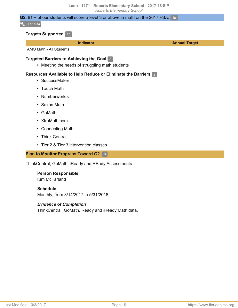### **G2.** 81% of our students will score a level 3 or above in math on the 2017 FSA. 1a

#### $\sqrt{6092534}$

### **Targets Supported** 1b

**Indicator Annual Target**

AMO Math - All Students

### **Targeted Barriers to Achieving the Goal** 3

• Meeting the needs of struggling math students

### **Resources Available to Help Reduce or Eliminate the Barriers** 2

- SuccessMaker
- Touch Math
- Numberworlds
- Saxon Math
- GoMath
- XtraMath.com
- Connecting Math
- Think Central
- Tier 2 & Tier 3 intervention classes

### **Plan to Monitor Progress Toward G2.** 8

ThinkCentral, GoMath, iReady and REady Assessments

**Person Responsible** Kim McFarland

**Schedule** Monthly, from 8/14/2017 to 5/31/2018

### *Evidence of Completion*

ThinkCentral, GoMath, Ready and iReady Math data.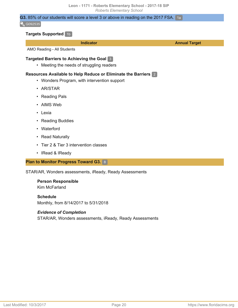### **G3.** 85% of our students will score a level 3 or above in reading on the 2017 FSA. 1a

#### $\sqrt{6092535}$

### **Targets Supported** 1b

**Indicator Annual Target**

AMO Reading - All Students

### **Targeted Barriers to Achieving the Goal** 3

• Meeting the needs of struggling readers

### **Resources Available to Help Reduce or Eliminate the Barriers** 2

- Wonders Program, with intervention support
- AR/STAR
- Reading Pals
- AIMS Web
- Lexia
- Reading Buddies
- Waterford
- Read Naturally
- Tier 2 & Tier 3 intervention classes
- IRead & IReady

**Plan to Monitor Progress Toward G3.** 8

STAR/AR, Wonders assessments, iReady, Ready Assessments

#### **Person Responsible** Kim McFarland

**Schedule** Monthly, from 8/14/2017 to 5/31/2018

### *Evidence of Completion*

STAR/AR, Wonders assessments, iReady, Ready Assessments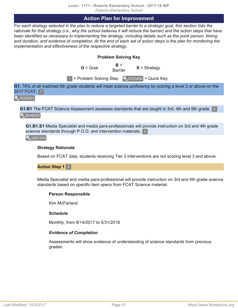### **Action Plan for Improvement**

<span id="page-20-0"></span>*For each strategy selected in the plan to reduce a targeted barrier to a strategic goal, this section lists the rationale for that strategy (i.e., why the school believes it will reduce the barrier) and the action steps that have been identified as necessary to implementing the strategy, including details such as the point person, timing and duration, and evidence of completion. At the end of each set of action steps is the plan for monitoring the implementation and effectiveness of the respective strategy.*

### **Problem Solving Key**

 $G =$  Goal  $G =$  B =

**S** = Strategy

 $\boxed{1}$  = Problem Solving Step  $\boxed{\phantom{1}}$  S123456 = Quick Key

**G1.** 78% of all matched 5th grade students will meet science proficiency by scoring a level 3 or above on the 2017 FCAT. **1** 

**Q**G092533

**G1.B1** The FCAT Science Assessment assesses standards that are taught in 3rd, 4th and 5th grade. 2

**8248025** 

**G1.B1.S1** Media Specialist and media para-professionals will provide instruction on 3rd and 4th grade science standards through P.O.D. and intervention materials. 4

S261333

### **Strategy Rationale**

Based on FCAT data, students receiving Tier 3 interventions are not scoring level 3 and above.

**Action Step 1** 5

Media Specialist and media para-professional will provide instruction on 3rd and 4th grade science standards based on specific item specs from FCAT Science material.

### **Person Responsible**

Kim McFarland

### **Schedule**

Monthly, from 8/14/2017 to 5/31/2018

### *Evidence of Completion*

Assessments will show evidence of understanding of science standards from previous grades.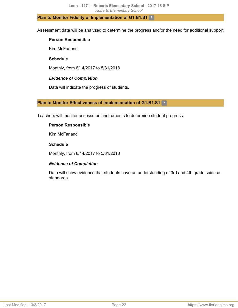### **Plan to Monitor Fidelity of Implementation of G1.B1.S1** 6

Assessment data will be analyzed to determine the progress and/or the need for additional support

### **Person Responsible**

Kim McFarland

### **Schedule**

Monthly, from 8/14/2017 to 5/31/2018

### *Evidence of Completion*

Data will indicate the progress of students.

### **Plan to Monitor Effectiveness of Implementation of G1.B1.S1** 7

Teachers will monitor assessment instruments to determine student progress.

### **Person Responsible**

Kim McFarland

### **Schedule**

Monthly, from 8/14/2017 to 5/31/2018

### *Evidence of Completion*

Data will show evidence that students have an understanding of 3rd and 4th grade science standards.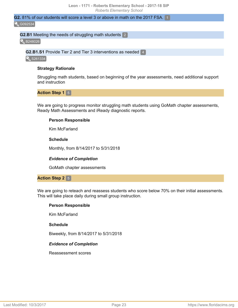# **G2.** 81% of our students will score a level 3 or above in math on the 2017 FSA. 1

**Q**G092534

### **G2.B1** Meeting the needs of struggling math students 2

**B248026** 

**G2.B1.S1** Provide Tier 2 and Tier 3 interventions as needed 4

S261334

### **Strategy Rationale**

Struggling math students, based on beginning of the year assessments, need additional support and instruction

**Action Step 1** 5

We are going to progress monitor struggling math students using GoMath chapter assessments, Ready Math Assessments and iReady diagnostic reports.

### **Person Responsible**

Kim McFarland

### **Schedule**

Monthly, from 8/14/2017 to 5/31/2018

### *Evidence of Completion*

GoMath chapter assessments

### **Action Step 2** 5

We are going to reteach and reassess students who score below 70% on their initial assessments. This will take place daily during small group instruction.

### **Person Responsible**

Kim McFarland

### **Schedule**

Biweekly, from 8/14/2017 to 5/31/2018

### *Evidence of Completion*

Reassessment scores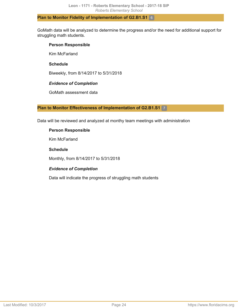### **Plan to Monitor Fidelity of Implementation of G2.B1.S1** 6

GoMath data will be analyzed to determine the progress and/or the need for additional support for struggling math students.

### **Person Responsible**

Kim McFarland

### **Schedule**

Biweekly, from 8/14/2017 to 5/31/2018

### *Evidence of Completion*

GoMath assessment data

### **Plan to Monitor Effectiveness of Implementation of G2.B1.S1** 7

Data will be reviewed and analyzed at monthy team meetings with administration

### **Person Responsible**

Kim McFarland

### **Schedule**

Monthly, from 8/14/2017 to 5/31/2018

### *Evidence of Completion*

Data will indicate the progress of struggling math students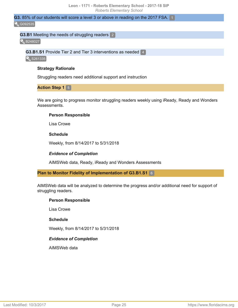# **G3.** 85% of our students will score a level 3 or above in reading on the 2017 FSA. 1

### **Q**G092535

### **G3.B1** Meeting the needs of struggling readers 2

**B248027** 

**G3.B1.S1** Provide Tier 2 and Tier 3 interventions as needed 4

S261335

### **Strategy Rationale**

Struggling readers need additional support and instruction

**Action Step 1** 5

We are going to progress monitor struggling readers weekly using iReady, Ready and Wonders Assessments.

### **Person Responsible**

Lisa Crowe

### **Schedule**

Weekly, from 8/14/2017 to 5/31/2018

### *Evidence of Completion*

AIMSWeb data, Ready, iReady and Wonders Assessments

### **Plan to Monitor Fidelity of Implementation of G3.B1.S1** 6

AIMSWeb data will be analyzed to determine the progress and/or additional need for support of struggling readers.

### **Person Responsible**

Lisa Crowe

### **Schedule**

Weekly, from 8/14/2017 to 5/31/2018

### *Evidence of Completion*

AIMSWeb data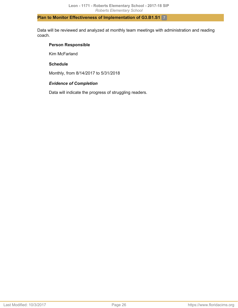### **Plan to Monitor Effectiveness of Implementation of G3.B1.S1** 7

Data will be reviewed and analyzed at monthly team meetings with administration and reading coach.

### **Person Responsible**

Kim McFarland

### **Schedule**

Monthly, from 8/14/2017 to 5/31/2018

### *Evidence of Completion*

Data will indicate the progress of struggling readers.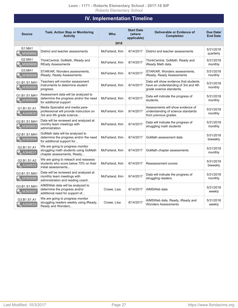# **IV. Implementation Timeline**

<span id="page-26-0"></span>

| <b>Source</b>                  | <b>Task, Action Step or Monitoring</b><br><b>Activity</b>                                                 | <b>Who</b>     | <b>Start Date</b><br>(where<br>applicable) | Deliverable or Evidence of<br><b>Completion</b>                                                           | Due Date/<br><b>End Date</b> |
|--------------------------------|-----------------------------------------------------------------------------------------------------------|----------------|--------------------------------------------|-----------------------------------------------------------------------------------------------------------|------------------------------|
|                                |                                                                                                           | 2018           |                                            |                                                                                                           |                              |
| G1.MA1<br>M365692              | District and teacher assessments                                                                          | McFarland, Kim | 8/14/2017                                  | District and teacher assessments                                                                          | 5/31/2018<br>quarterly       |
| G2.MA1<br>M365695              | ThinkCentral, GoMath, iReady and<br><b>REady Assessments</b>                                              | McFarland, Kim | 8/14/2017                                  | ThinkCentral, GoMath, Ready and<br>iReady Math data.                                                      | 5/31/2018<br>monthly         |
| G3.MA1<br>M365698              | STAR/AR, Wonders assessments,<br>iReady, Ready Assessments                                                | McFarland, Kim | 8/14/2017                                  | STAR/AR, Wonders assessments,<br>iReady, Ready Assessments                                                | 5/31/2018<br>monthly         |
| G1.B1.S1.MA1<br>M365690        | Teachers will monitor assessment<br>instruments to determine student<br>progress.                         | McFarland, Kim | 8/14/2017                                  | Data will show evidence that students<br>have an understanding of 3rd and 4th<br>grade science standards. | 5/31/2018<br>monthly         |
| G1.B1.S1.MA1<br>M365691        | Assessment data will be analyzed to<br>determine the progress and/or the need<br>for additional support   | McFarland, Kim | 8/14/2017                                  | Data will indicate the progress of<br>students.                                                           | 5/31/2018<br>monthly         |
| G1.B1.S1.A1<br>A344630         | Media Specialist and media para-<br>professional will provide instruction on<br>3rd and 4th grade science | McFarland, Kim | 8/14/2017                                  | Assessments will show evidence of<br>understanding of science standards<br>from previous grades.          | 5/31/2018<br>monthly         |
| G2.B1.S1.MA1<br><b>M365693</b> | Data will be reviewed and analyzed at<br>monthy team meetings with<br>administration                      | McFarland, Kim | 8/14/2017                                  | Data will indicate the progress of<br>struggling math students                                            | 5/31/2018<br>monthly         |
| G2.B1.S1.MA1<br>M365694        | GoMath data will be analyzed to<br>determine the progress and/or the need<br>for additional support for   | McFarland, Kim | 8/14/2017                                  | GoMath assessment data                                                                                    | 5/31/2018<br>biweekly        |
| G2.B1.S1.A1<br>A344631         | We are going to progress monitor<br>struggling math students using GoMath<br>chapter assessments, Ready   | McFarland, Kim | 8/14/2017                                  | GoMath chapter assessments                                                                                | 5/31/2018<br>monthly         |
| G2.B1.S1.A2<br>A344632         | We are going to reteach and reassess<br>students who score below 70% on their<br>initial assessments      | McFarland, Kim | 8/14/2017                                  | Reassessment scores                                                                                       | 5/31/2018<br>biweekly        |
| G3.B1.S1.MA1<br>M365696        | Data will be reviewed and analyzed at<br>monthly team meetings with<br>administration and reading coach.  | McFarland, Kim | 8/14/2017                                  | Data will indicate the progress of<br>struggling readers.                                                 | 5/31/2018<br>monthly         |
| G3.B1.S1.MA1<br>M365697        | AIMSWeb data will be analyzed to<br>determine the progress and/or<br>additional need for support of       | Crowe, Lisa    | 8/14/2017                                  | AIMSWeb data                                                                                              | 5/31/2018<br>weekly          |
| G3.B1.S1.A1<br>A344633         | We are going to progress monitor<br>struggling readers weekly using iReady,<br>Ready and Wonders          | Crowe, Lisa    | 8/14/2017                                  | AIMSWeb data, Ready, iReady and<br><b>Wonders Assessments</b>                                             | 5/31/2018<br>weekly          |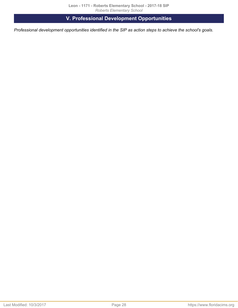**V. Professional Development Opportunities**

<span id="page-27-1"></span><span id="page-27-0"></span>*Professional development opportunities identified in the SIP as action steps to achieve the school's goals.*